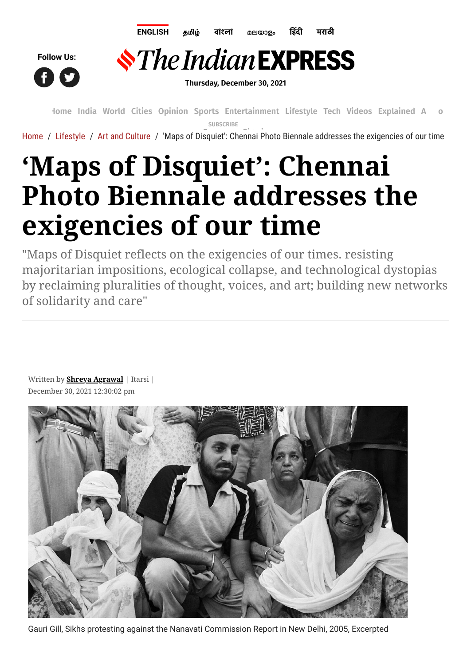





**Thursday, December 30, 2021**

**[Home](https://indianexpress.com/) [India](https://indianexpress.com/section/india/) [World](https://indianexpress.com/section/world/) [Cities](https://indianexpress.com/section/cities/) [Opinion](https://indianexpress.com/section/opinion/) [Sports](https://indianexpress.com/section/sports/) [Entertainment](https://indianexpress.com/section/entertainment/) [Lifestyle](https://indianexpress.com/section/lifestyle/) [Tech](https://indianexpress.com/section/technology/) [Videos](https://indianexpress.com/videos/) [Explained](https://indianexpress.com/section/explained/) [Audio](https://indianexpress.com/audio/) SUBSCRIBE**

[Home](https://indianexpress.com/) / [Lifestyle](https://indianexpress.com/section/lifestyle/) / [Art and Culture](https://indianexpress.com/section/lifestyle/art-and-culture/) / 'Maps of [Disquiet': C](https://indianexpress.com/subscribe/)h[ennai Pho](https://indianexpress.com/login/)to Biennale addresses the exigencies of our time

## **'Maps of Disquiet': Chennai Photo Biennale addresses the exigencies of our time**

"Maps of Disquiet reflects on the exigencies of our times. resisting majoritarian impositions, ecological collapse, and technological dystopias by reclaiming pluralities of thought, voices, and art; building new networks of solidarity and care"

Written by **[Shreya Agrawal](https://indianexpress.com/profile/author/shreya-agrawal/)** | Itarsi | December 30, 2021 12:30:02 pm



Gauri Gill, Sikhs protesting against the Nanavati Commission Report in New Delhi, 2005, Excerpted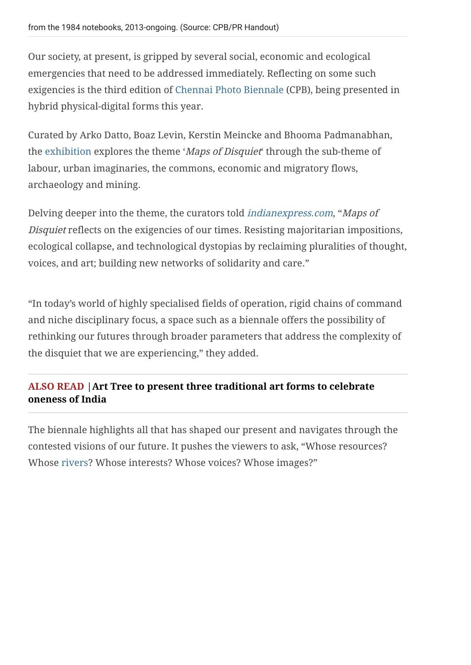Our society, at present, is gripped by several social, economic and ecological emergencies that need to be addressed immediately. Reflecting on some such exigencies is the third edition of [Chennai Photo Biennale](https://indianexpress.com/article/technology/tech-news-technology/with-smartphones-chennai-photo-fest-exposes-children-to-photography-5567814/) (CPB), being presented in hybrid physical-digital forms this year.

Curated by Arko Datto, Boaz Levin, Kerstin Meincke and Bhooma Padmanabhan, the [exhibition](https://indianexpress.com/photos/lifestyle-gallery/art-exhibition-reflects-upon-artists-and-their-ideas-of-progress-7540352/) explores the theme 'Maps of Disquiet' through the sub-theme of labour, urban imaginaries, the commons, economic and migratory flows, archaeology and mining.

Delving deeper into the theme, the curators told [indianexpress.com](https://indianexpress.com/), "Maps of Disquiet reflects on the exigencies of our times. Resisting majoritarian impositions, ecological collapse, and technological dystopias by reclaiming pluralities of thought, voices, and art; building new networks of solidarity and care."

"In today's world of highly specialised fields of operation, rigid chains of command and niche disciplinary focus, a space such as a biennale offers the possibility of rethinking our futures through broader parameters that address the complexity of the disquiet that we are experiencing," they added.

## **[ALSO READ |Art Tree to present three traditional art forms to celebrate](https://indianexpress.com/article/lifestyle/art-and-culture/art-tree-three-traditional-art-forms-celebrate-oneness-india-madhubani-phad-chintz-7683654/) oneness of India**

The biennale highlights all that has shaped our present and navigates through the contested visions of our future. It pushes the viewers to ask, "Whose resources? Whose [rivers](https://indianexpress.com/article/lifestyle/art-and-culture/artist-jayasri-burman-paints-the-resilient-ganga-river-exhibition-7679434/)? Whose interests? Whose voices? Whose images?"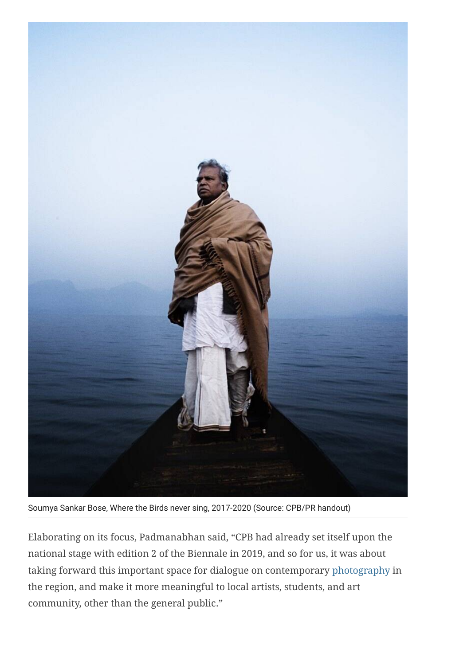

Soumya Sankar Bose, Where the Birds never sing, 2017-2020 (Source: CPB/PR handout)

Elaborating on its focus, Padmanabhan said, "CPB had already set itself upon the national stage with edition 2 of the Biennale in 2019, and so for us, it was about taking forward this important space for dialogue on contemporary [photography](https://indianexpress.com/photos/lifestyle-gallery/stunning-photographs-capture-the-breathtaking-diversity-india-7583639/) in the region, and make it more meaningful to local artists, students, and art community, other than the general public."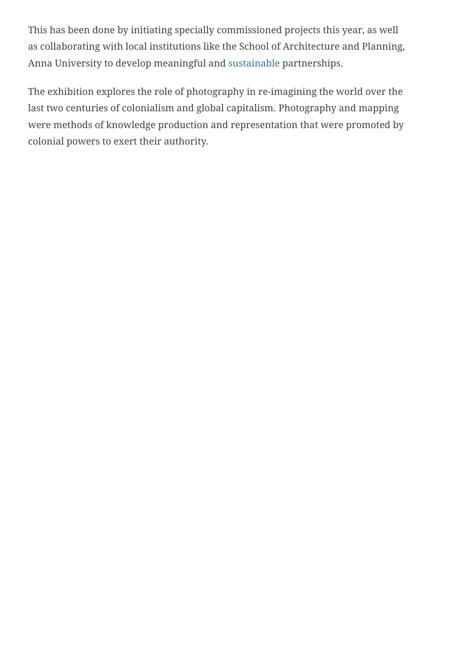This has been done by initiating specially commissioned projects this year, as well as collaborating with local institutions like the School of Architecture and Planning, Anna University to develop meaningful and [sustainable](https://indianexpress.com/article/lifestyle/life-style/simple-tips-living-sustainable-home-decor-sustainability-7591470/) partnerships.

The exhibition explores the role of photography in re-imagining the world over the last two centuries of colonialism and global capitalism. Photography and mapping were methods of knowledge production and representation that were promoted by colonial powers to exert their authority.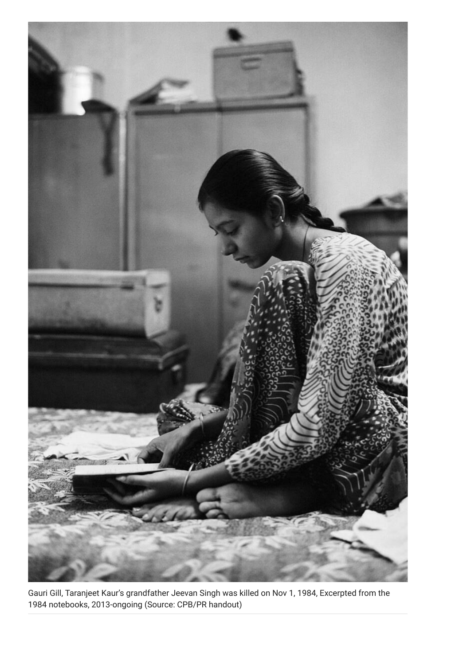

Gauri Gill, Taranjeet Kaur's grandfather Jeevan Singh was killed on Nov 1, 1984, Excerpted from the 1984 notebooks, 2013-ongoing (Source: CPB/PR handout)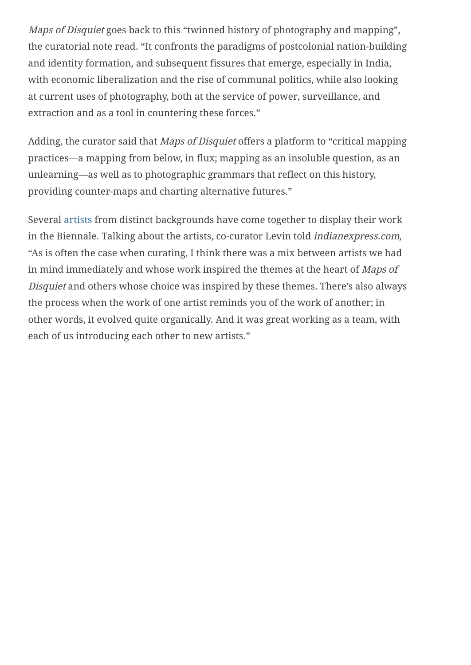Maps of Disquiet goes back to this "twinned history of photography and mapping", the curatorial note read. "It confronts the paradigms of postcolonial nation-building and identity formation, and subsequent fissures that emerge, especially in India, with economic liberalization and the rise of communal politics, while also looking at current uses of photography, both at the service of power, surveillance, and extraction and as a tool in countering these forces."

Adding, the curator said that *Maps of Disquiet* offers a platform to "critical mapping practices—a mapping from below, in flux; mapping as an insoluble question, as an unlearning—as well as to photographic grammars that reflect on this history, providing counter-maps and charting alternative futures."

Several [artists](https://indianexpress.com/article/lifestyle/art-and-culture/exhibition-explores-the-gaze-of-indian-artists-7189532/) from distinct backgrounds have come together to display their work in the Biennale. Talking about the artists, co-curator Levin told indianexpress.com, "As is often the case when curating, I think there was a mix between artists we had in mind immediately and whose work inspired the themes at the heart of Maps of Disquiet and others whose choice was inspired by these themes. There's also always the process when the work of one artist reminds you of the work of another; in other words, it evolved quite organically. And it was great working as a team, with each of us introducing each other to new artists."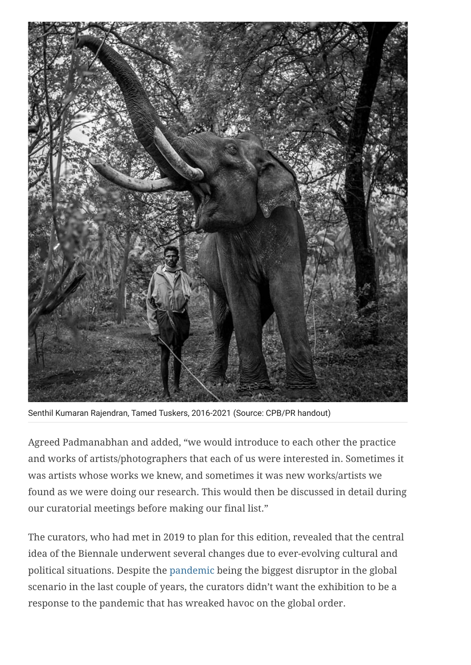

Senthil Kumaran Rajendran, Tamed Tuskers, 2016-2021 (Source: CPB/PR handout)

Agreed Padmanabhan and added, "we would introduce to each other the practice and works of artists/photographers that each of us were interested in. Sometimes it was artists whose works we knew, and sometimes it was new works/artists we found as we were doing our research. This would then be discussed in detail during our curatorial meetings before making our final list."

The curators, who had met in 2019 to plan for this edition, revealed that the central idea of the Biennale underwent several changes due to ever-evolving cultural and political situations. Despite the [pandemic](https://indianexpress.com/article/lifestyle/life-style/feeling-powerless-families-bring-elderly-home-pandemic-7683331/) being the biggest disruptor in the global scenario in the last couple of years, the curators didn't want the exhibition to be a response to the pandemic that has wreaked havoc on the global order.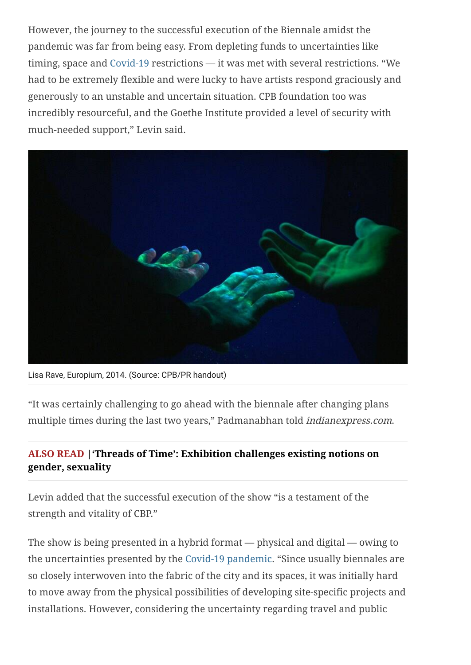However, the journey to the successful execution of the Biennale amidst the pandemic was far from being easy. From depleting funds to uncertainties like timing, space and [Covid-19](https://indianexpress.com/article/lifestyle/health/diabetes-covid-19-self-care-tips-second-wave-blood-sugar-pandemic-7302673/) restrictions — it was met with several restrictions. "We had to be extremely flexible and were lucky to have artists respond graciously and generously to an unstable and uncertain situation. CPB foundation too was incredibly resourceful, and the Goethe Institute provided a level of security with much-needed support," Levin said.



Lisa Rave, Europium, 2014. (Source: CPB/PR handout)

"It was certainly challenging to go ahead with the biennale after changing plans multiple times during the last two years," Padmanabhan told indianexpress.com.

## **[ALSO READ |'Threads of Time': Exhibition challenges existing notions on](https://indianexpress.com/article/lifestyle/art-and-culture/threads-of-time-exhibition-challenges-existing-notions-gender-sexuality-7683394/) gender, sexuality**

Levin added that the successful execution of the show "is a testament of the strength and vitality of CBP."

The show is being presented in a hybrid format — physical and digital — owing to the uncertainties presented by the [Covid-19 pandemic.](https://indianexpress.com/article/lifestyle/life-style/social-media-lives-help-brands-stores-business-pandemic-marketing-strategy-products-sales-facebook-instagram-live-videos-interaction-views-7684303/) "Since usually biennales are so closely interwoven into the fabric of the city and its spaces, it was initially hard to move away from the physical possibilities of developing site-specific projects and installations. However, considering the uncertainty regarding travel and public